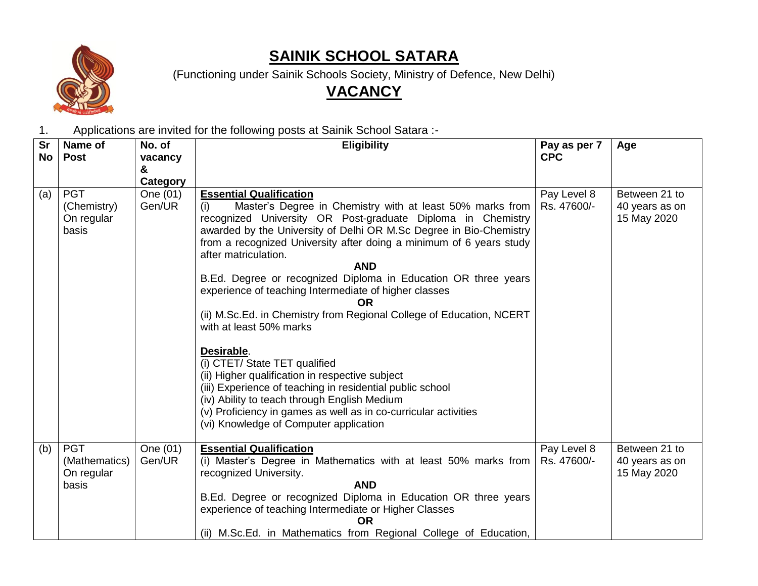

# **SAINIK SCHOOL SATARA**

(Functioning under Sainik Schools Society, Ministry of Defence, New Delhi)

# **VACANCY**

1. Applications are invited for the following posts at Sainik School Satara :-

| <b>Sr</b> | Name of                                            | No. of                         | <b>Eligibility</b>                                                                                                                                                                                                                                                                                                                                                                                                                                                                                                                                                                              | Pay as per 7               | Age                                            |
|-----------|----------------------------------------------------|--------------------------------|-------------------------------------------------------------------------------------------------------------------------------------------------------------------------------------------------------------------------------------------------------------------------------------------------------------------------------------------------------------------------------------------------------------------------------------------------------------------------------------------------------------------------------------------------------------------------------------------------|----------------------------|------------------------------------------------|
| No        | <b>Post</b>                                        | vacancy                        |                                                                                                                                                                                                                                                                                                                                                                                                                                                                                                                                                                                                 | <b>CPC</b>                 |                                                |
|           |                                                    | &                              |                                                                                                                                                                                                                                                                                                                                                                                                                                                                                                                                                                                                 |                            |                                                |
| (a)       | <b>PGT</b><br>(Chemistry)<br>On regular<br>basis   | Category<br>One (01)<br>Gen/UR | <b>Essential Qualification</b><br>Master's Degree in Chemistry with at least 50% marks from<br>(i)<br>recognized University OR Post-graduate Diploma in Chemistry<br>awarded by the University of Delhi OR M.Sc Degree in Bio-Chemistry<br>from a recognized University after doing a minimum of 6 years study<br>after matriculation.<br><b>AND</b><br>B.Ed. Degree or recognized Diploma in Education OR three years<br>experience of teaching Intermediate of higher classes<br><b>OR</b><br>(ii) M.Sc.Ed. in Chemistry from Regional College of Education, NCERT<br>with at least 50% marks | Pay Level 8<br>Rs. 47600/- | Between 21 to<br>40 years as on<br>15 May 2020 |
|           |                                                    |                                | Desirable.<br>(i) CTET/ State TET qualified<br>(ii) Higher qualification in respective subject<br>(iii) Experience of teaching in residential public school<br>(iv) Ability to teach through English Medium<br>(v) Proficiency in games as well as in co-curricular activities<br>(vi) Knowledge of Computer application                                                                                                                                                                                                                                                                        |                            |                                                |
| (b)       | <b>PGT</b><br>(Mathematics)<br>On regular<br>basis | One (01)<br>Gen/UR             | <b>Essential Qualification</b><br>(i) Master's Degree in Mathematics with at least 50% marks from<br>recognized University.<br><b>AND</b><br>B.Ed. Degree or recognized Diploma in Education OR three years<br>experience of teaching Intermediate or Higher Classes<br><b>OR</b><br>(ii) M.Sc.Ed. in Mathematics from Regional College of Education,                                                                                                                                                                                                                                           | Pay Level 8<br>Rs. 47600/- | Between 21 to<br>40 years as on<br>15 May 2020 |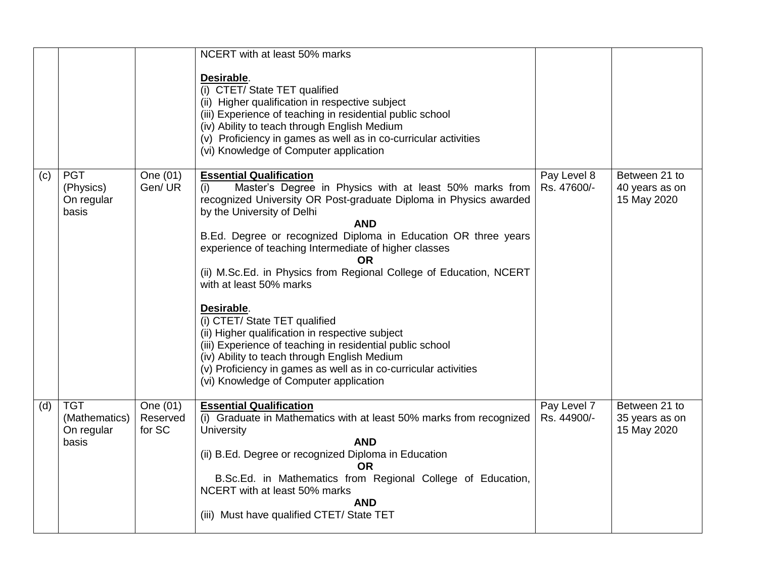|     |                                                    |                                | NCERT with at least 50% marks<br>Desirable.<br>(i) CTET/ State TET qualified<br>(ii) Higher qualification in respective subject<br>(iii) Experience of teaching in residential public school<br>(iv) Ability to teach through English Medium<br>(v) Proficiency in games as well as in co-curricular activities<br>(vi) Knowledge of Computer application                                                                                                                                                                                                                                                                                                                                                                                                                       |                            |                                                |
|-----|----------------------------------------------------|--------------------------------|---------------------------------------------------------------------------------------------------------------------------------------------------------------------------------------------------------------------------------------------------------------------------------------------------------------------------------------------------------------------------------------------------------------------------------------------------------------------------------------------------------------------------------------------------------------------------------------------------------------------------------------------------------------------------------------------------------------------------------------------------------------------------------|----------------------------|------------------------------------------------|
| (c) | <b>PGT</b><br>(Physics)<br>On regular<br>basis     | One (01)<br>Gen/UR             | <b>Essential Qualification</b><br>(i)<br>Master's Degree in Physics with at least 50% marks from<br>recognized University OR Post-graduate Diploma in Physics awarded<br>by the University of Delhi<br><b>AND</b><br>B.Ed. Degree or recognized Diploma in Education OR three years<br>experience of teaching Intermediate of higher classes<br>OR<br>(ii) M.Sc.Ed. in Physics from Regional College of Education, NCERT<br>with at least 50% marks<br>Desirable.<br>(i) CTET/ State TET qualified<br>(ii) Higher qualification in respective subject<br>(iii) Experience of teaching in residential public school<br>(iv) Ability to teach through English Medium<br>(v) Proficiency in games as well as in co-curricular activities<br>(vi) Knowledge of Computer application | Pay Level 8<br>Rs. 47600/- | Between 21 to<br>40 years as on<br>15 May 2020 |
| (d) | <b>TGT</b><br>(Mathematics)<br>On regular<br>basis | One (01)<br>Reserved<br>for SC | <b>Essential Qualification</b><br>(i) Graduate in Mathematics with at least 50% marks from recognized<br>University<br><b>AND</b><br>(ii) B.Ed. Degree or recognized Diploma in Education<br>OR.<br>B.Sc.Ed. in Mathematics from Regional College of Education,<br>NCERT with at least 50% marks<br><b>AND</b><br>(iii) Must have qualified CTET/ State TET                                                                                                                                                                                                                                                                                                                                                                                                                     | Pay Level 7<br>Rs. 44900/- | Between 21 to<br>35 years as on<br>15 May 2020 |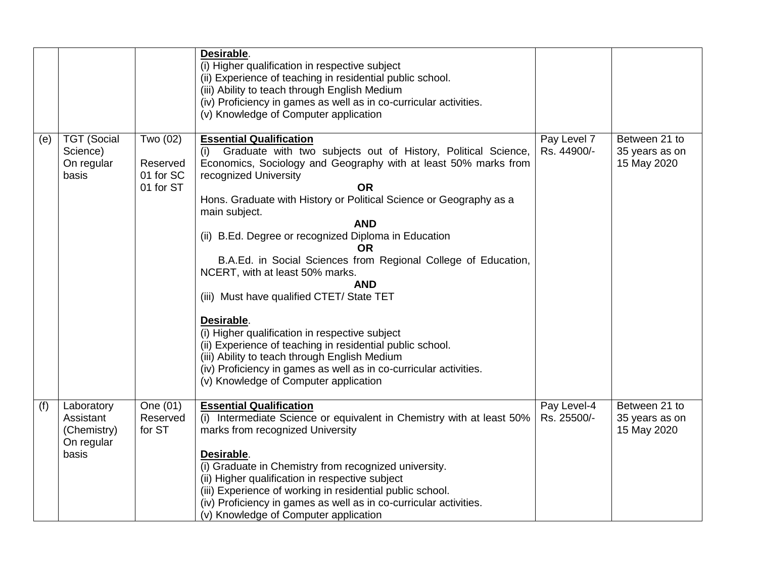|     |                                                               |                                                | Desirable.<br>(i) Higher qualification in respective subject<br>(ii) Experience of teaching in residential public school.<br>(iii) Ability to teach through English Medium<br>(iv) Proficiency in games as well as in co-curricular activities.<br>(v) Knowledge of Computer application                                                                                                                                                                                                                                                                                                                                                                                                                                                                                                                                                        |                            |                                                |
|-----|---------------------------------------------------------------|------------------------------------------------|-------------------------------------------------------------------------------------------------------------------------------------------------------------------------------------------------------------------------------------------------------------------------------------------------------------------------------------------------------------------------------------------------------------------------------------------------------------------------------------------------------------------------------------------------------------------------------------------------------------------------------------------------------------------------------------------------------------------------------------------------------------------------------------------------------------------------------------------------|----------------------------|------------------------------------------------|
| (e) | <b>TGT (Social</b><br>Science)<br>On regular<br>basis         | Two (02)<br>Reserved<br>01 for SC<br>01 for ST | <b>Essential Qualification</b><br>Graduate with two subjects out of History, Political Science,<br>(i)<br>Economics, Sociology and Geography with at least 50% marks from<br>recognized University<br><b>OR</b><br>Hons. Graduate with History or Political Science or Geography as a<br>main subject.<br><b>AND</b><br>(ii) B.Ed. Degree or recognized Diploma in Education<br>OR.<br>B.A.Ed. in Social Sciences from Regional College of Education,<br>NCERT, with at least 50% marks.<br><b>AND</b><br>(iii) Must have qualified CTET/ State TET<br>Desirable.<br>(i) Higher qualification in respective subject<br>(ii) Experience of teaching in residential public school.<br>(iii) Ability to teach through English Medium<br>(iv) Proficiency in games as well as in co-curricular activities.<br>(v) Knowledge of Computer application | Pay Level 7<br>Rs. 44900/- | Between 21 to<br>35 years as on<br>15 May 2020 |
| (f) | Laboratory<br>Assistant<br>(Chemistry)<br>On regular<br>basis | One (01)<br>Reserved<br>for ST                 | <b>Essential Qualification</b><br>(i) Intermediate Science or equivalent in Chemistry with at least 50%<br>marks from recognized University<br>Desirable.<br>(i) Graduate in Chemistry from recognized university.<br>(ii) Higher qualification in respective subject<br>(iii) Experience of working in residential public school.<br>(iv) Proficiency in games as well as in co-curricular activities.<br>(v) Knowledge of Computer application                                                                                                                                                                                                                                                                                                                                                                                                | Pay Level-4<br>Rs. 25500/- | Between 21 to<br>35 years as on<br>15 May 2020 |